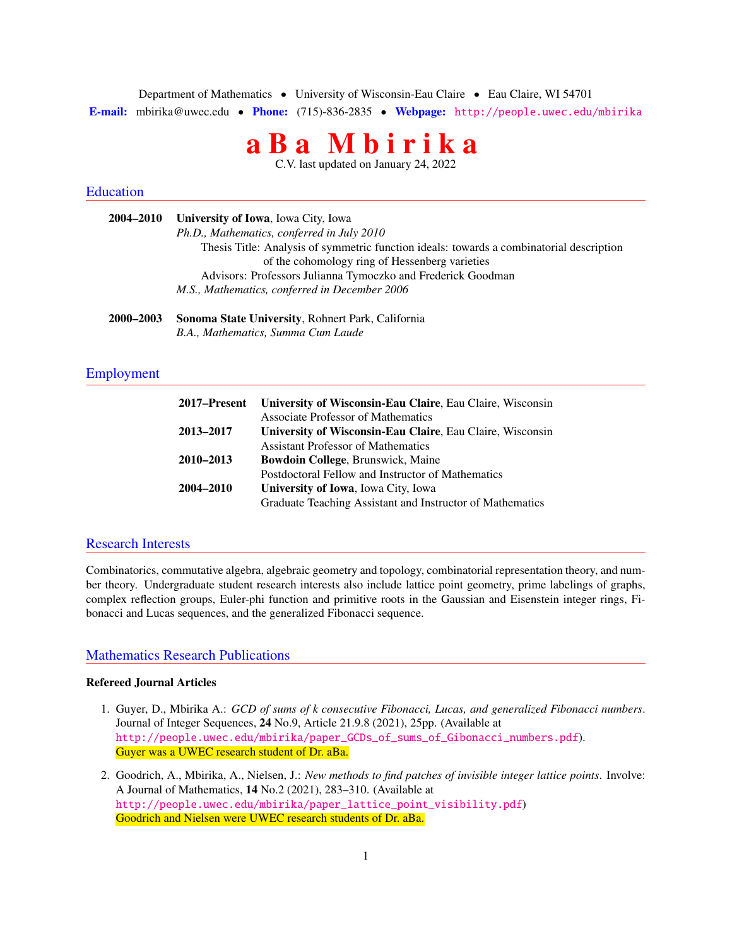Department of Mathematics • University of Wisconsin-Eau Claire • Eau Claire, WI 54701 E-mail: mbirika@uwec.edu • Phone: (715)-836-2835 • Webpage: <http://people.uwec.edu/mbirika>

# a B a M b i r i k a

C.V. last updated on January 24, 2022

### Education

| 2004–2010 | <b>University of Iowa, Iowa City, Iowa</b>                                               |
|-----------|------------------------------------------------------------------------------------------|
|           | Ph.D., Mathematics, conferred in July 2010                                               |
|           | Thesis Title: Analysis of symmetric function ideals: towards a combinatorial description |
|           | of the cohomology ring of Hessenberg varieties                                           |
|           | Advisors: Professors Julianna Tymoczko and Frederick Goodman                             |
|           | M.S., Mathematics, conferred in December 2006                                            |
| 2000-2003 | <b>Sonoma State University, Rohnert Park, California</b>                                 |

*B.A., Mathematics, Summa Cum Laude*

# Employment

| 2017–Present | University of Wisconsin-Eau Claire, Eau Claire, Wisconsin |
|--------------|-----------------------------------------------------------|
|              | Associate Professor of Mathematics                        |
| 2013-2017    | University of Wisconsin-Eau Claire, Eau Claire, Wisconsin |
|              | <b>Assistant Professor of Mathematics</b>                 |
| 2010-2013    | Bowdoin College, Brunswick, Maine                         |
|              | Postdoctoral Fellow and Instructor of Mathematics         |
| 2004-2010    | University of Iowa, Iowa City, Iowa                       |
|              | Graduate Teaching Assistant and Instructor of Mathematics |

#### Research Interests

Combinatorics, commutative algebra, algebraic geometry and topology, combinatorial representation theory, and number theory. Undergraduate student research interests also include lattice point geometry, prime labelings of graphs, complex reflection groups, Euler-phi function and primitive roots in the Gaussian and Eisenstein integer rings, Fibonacci and Lucas sequences, and the generalized Fibonacci sequence.

# Mathematics Research Publications

# Refereed Journal Articles

- 1. Guyer, D., Mbirika A.: *GCD of sums of k consecutive Fibonacci, Lucas, and generalized Fibonacci numbers*. Journal of Integer Sequences, 24 No.9, Article 21.9.8 (2021), 25pp. (Available at [http://people.uwec.edu/mbirika/paper\\_GCDs\\_of\\_sums\\_of\\_Gibonacci\\_numbers.pdf](http://people.uwec.edu/mbirika/paper_GCDs_of_sums_of_Gibonacci_numbers.pdf)). Guyer was a UWEC research student of Dr. aBa.
- 2. Goodrich, A., Mbirika, A., Nielsen, J.: *New methods to find patches of invisible integer lattice points*. Involve: A Journal of Mathematics, 14 No.2 (2021), 283–310. (Available at [http://people.uwec.edu/mbirika/paper\\_lattice\\_point\\_visibility.pdf](http://people.uwec.edu/mbirika/paper_lattice_point_visibility.pdf)) Goodrich and Nielsen were UWEC research students of Dr. aBa.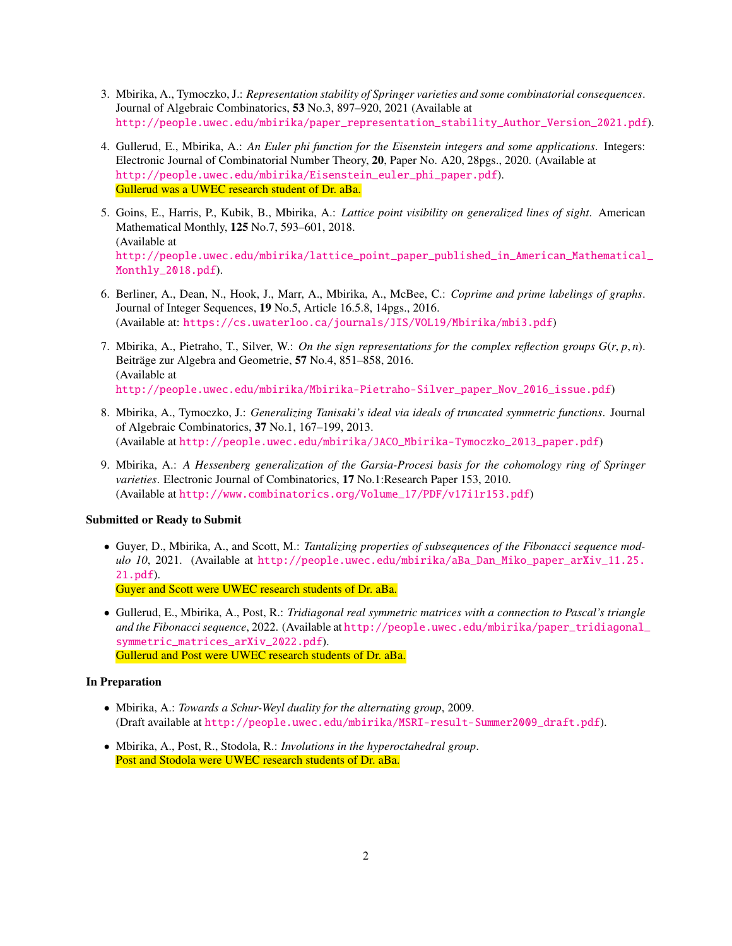- 3. Mbirika, A., Tymoczko, J.: *Representation stability of Springer varieties and some combinatorial consequences*. Journal of Algebraic Combinatorics, 53 No.3, 897–920, 2021 (Available at [http://people.uwec.edu/mbirika/paper\\_representation\\_stability\\_Author\\_Version\\_2021.pdf](http://people.uwec.edu/mbirika/paper_representation_stability_Author_Version_2021.pdf)).
- 4. Gullerud, E., Mbirika, A.: *An Euler phi function for the Eisenstein integers and some applications*. Integers: Electronic Journal of Combinatorial Number Theory, 20, Paper No. A20, 28pgs., 2020. (Available at [http://people.uwec.edu/mbirika/Eisenstein\\_euler\\_phi\\_paper.pdf](http://people.uwec.edu/mbirika/Eisenstein_euler_phi_paper.pdf)). Gullerud was a UWEC research student of Dr. aBa.
- 5. Goins, E., Harris, P., Kubik, B., Mbirika, A.: *Lattice point visibility on generalized lines of sight*. American Mathematical Monthly, 125 No.7, 593–601, 2018. (Available at [http://people.uwec.edu/mbirika/lattice\\_point\\_paper\\_published\\_in\\_American\\_Mathematical](http://people.uwec.edu/mbirika/lattice_point_paper_published_in_American_Mathematical_Monthly_2018.pdf)\_ [Monthly\\_2018.pdf](http://people.uwec.edu/mbirika/lattice_point_paper_published_in_American_Mathematical_Monthly_2018.pdf)).
- 6. Berliner, A., Dean, N., Hook, J., Marr, A., Mbirika, A., McBee, C.: *Coprime and prime labelings of graphs*. Journal of Integer Sequences, 19 No.5, Article 16.5.8, 14pgs., 2016. (Available at: <https://cs.uwaterloo.ca/journals/JIS/VOL19/Mbirika/mbi3.pdf>)
- 7. Mbirika, A., Pietraho, T., Silver, W.: *On the sign representations for the complex reflection groups G*(*r*, *<sup>p</sup>*, *<sup>n</sup>*). Beiträge zur Algebra and Geometrie, 57 No.4, 851–858, 2016. (Available at [http://people.uwec.edu/mbirika/Mbirika-Pietraho-Silver\\_paper\\_Nov\\_2016\\_issue.pdf](http://people.uwec.edu/mbirika/Mbirika-Pietraho-Silver_paper_Nov_2016_issue.pdf))
- 8. Mbirika, A., Tymoczko, J.: *Generalizing Tanisaki's ideal via ideals of truncated symmetric functions*. Journal of Algebraic Combinatorics, 37 No.1, 167–199, 2013. (Available at [http://people.uwec.edu/mbirika/JACO\\_Mbirika-Tymoczko\\_2013\\_paper.pdf](http://people.uwec.edu/mbirika/JACO_Mbirika-Tymoczko_2013_paper.pdf))
- 9. Mbirika, A.: *A Hessenberg generalization of the Garsia-Procesi basis for the cohomology ring of Springer varieties*. Electronic Journal of Combinatorics, 17 No.1:Research Paper 153, 2010. (Available at [http://www.combinatorics.org/Volume\\_17/PDF/v17i1r153.pdf](http://www.combinatorics.org/Volume_17/PDF/v17i1r153.pdf))

#### Submitted or Ready to Submit

- Guyer, D., Mbirika, A., and Scott, M.: *Tantalizing properties of subsequences of the Fibonacci sequence modulo 10*, 2021. (Available at [http://people.uwec.edu/mbirika/aBa\\_Dan\\_Miko\\_paper\\_arXiv\\_11.25.](http://people.uwec.edu/mbirika/aBa_Dan_Miko_paper_arXiv_11.25.21.pdf) [21.pdf](http://people.uwec.edu/mbirika/aBa_Dan_Miko_paper_arXiv_11.25.21.pdf)). Guyer and Scott were UWEC research students of Dr. aBa.
- Gullerud, E., Mbirika, A., Post, R.: *Tridiagonal real symmetric matrices with a connection to Pascal's triangle and the Fibonacci sequence*, 2022. (Available at [http://people.uwec.edu/mbirika/paper\\_tridiagonal\\_](http://people.uwec.edu/mbirika/paper_tridiagonal_symmetric_matrices_arXiv_2022.pdf) [symmetric\\_matrices\\_arXiv\\_2022.pdf](http://people.uwec.edu/mbirika/paper_tridiagonal_symmetric_matrices_arXiv_2022.pdf)). Gullerud and Post were UWEC research students of Dr. aBa.

#### In Preparation

- Mbirika, A.: *Towards a Schur-Weyl duality for the alternating group*, 2009. (Draft available at [http://people.uwec.edu/mbirika/MSRI-result-Summer2009\\_draft.pdf](http://people.uwec.edu/mbirika/MSRI-result-Summer2009_draft.pdf)).
- Mbirika, A., Post, R., Stodola, R.: *Involutions in the hyperoctahedral group*. Post and Stodola were UWEC research students of Dr. aBa.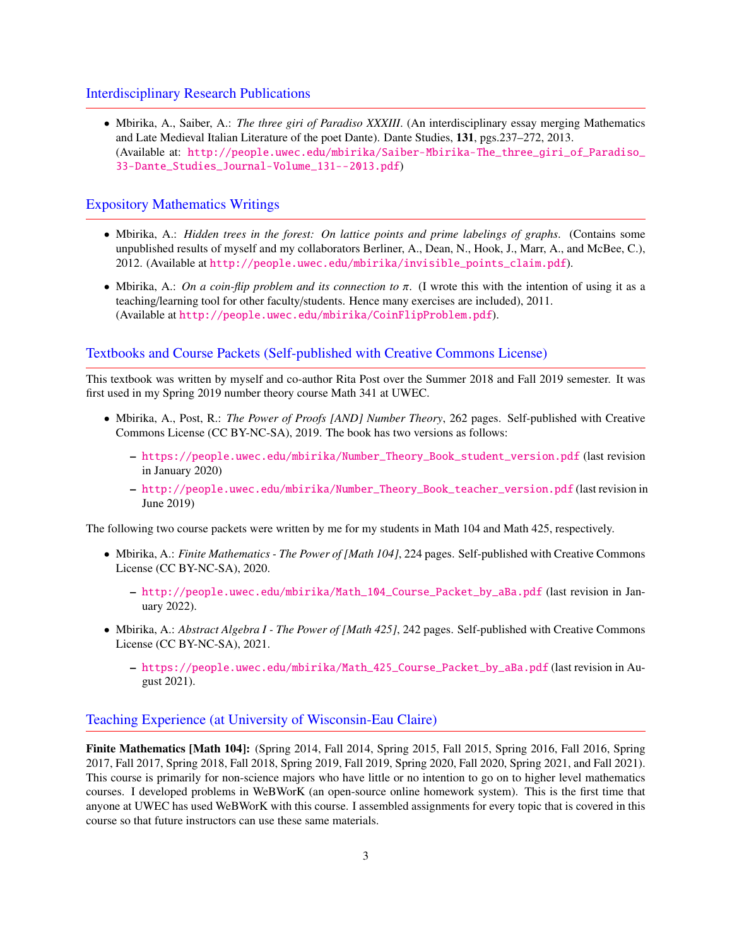# Interdisciplinary Research Publications

• Mbirika, A., Saiber, A.: *The three giri of Paradiso XXXIII*. (An interdisciplinary essay merging Mathematics and Late Medieval Italian Literature of the poet Dante). Dante Studies, 131, pgs.237–272, 2013. (Available at: [http://people.uwec.edu/mbirika/Saiber-Mbirika-The\\_three\\_giri\\_of\\_Paradiso\\_](http://people.uwec.edu/mbirika/Saiber-Mbirika-The_three_giri_of_Paradiso_33-Dante_Studies_Journal-Volume_131--2013.pdf) [33-Dante\\_Studies\\_Journal-Volume\\_131--2013.pdf](http://people.uwec.edu/mbirika/Saiber-Mbirika-The_three_giri_of_Paradiso_33-Dante_Studies_Journal-Volume_131--2013.pdf))

# Expository Mathematics Writings

- Mbirika, A.: *Hidden trees in the forest: On lattice points and prime labelings of graphs*. (Contains some unpublished results of myself and my collaborators Berliner, A., Dean, N., Hook, J., Marr, A., and McBee, C.), 2012. (Available at [http://people.uwec.edu/mbirika/invisible\\_points\\_claim.pdf](http://people.uwec.edu/mbirika/invisible_points_claim.pdf)).
- Mbirika, A.: *On a coin-flip problem and its connection to* π. (I wrote this with the intention of using it as a teaching/learning tool for other faculty/students. Hence many exercises are included), 2011. (Available at <http://people.uwec.edu/mbirika/CoinFlipProblem.pdf>).

#### Textbooks and Course Packets (Self-published with Creative Commons License)

This textbook was written by myself and co-author Rita Post over the Summer 2018 and Fall 2019 semester. It was first used in my Spring 2019 number theory course Math 341 at UWEC.

- Mbirika, A., Post, R.: *The Power of Proofs [AND] Number Theory*, 262 pages. Self-published with Creative Commons License (CC BY-NC-SA), 2019. The book has two versions as follows:
	- [https://people.uwec.edu/mbirika/Number\\_Theory\\_Book\\_student\\_version.pdf](https://people.uwec.edu/mbirika/Number_Theory_Book_student_version.pdf) (last revision in January 2020)
	- [http://people.uwec.edu/mbirika/Number\\_Theory\\_Book\\_teacher\\_version.pdf](http://people.uwec.edu/mbirika/Number_Theory_Book_teacher_version.pdf) (last revision in June 2019)

The following two course packets were written by me for my students in Math 104 and Math 425, respectively.

- Mbirika, A.: *Finite Mathematics The Power of [Math 104]*, 224 pages. Self-published with Creative Commons License (CC BY-NC-SA), 2020.
	- [http://people.uwec.edu/mbirika/Math\\_104\\_Course\\_Packet\\_by\\_aBa.pdf](http://people.uwec.edu/mbirika/Math_104_Course_Packet_by_aBa.pdf) (last revision in January 2022).
- Mbirika, A.: *Abstract Algebra I The Power of [Math 425]*, 242 pages. Self-published with Creative Commons License (CC BY-NC-SA), 2021.
	- [https://people.uwec.edu/mbirika/Math\\_425\\_Course\\_Packet\\_by\\_aBa.pdf](https://people.uwec.edu/mbirika/Math_425_Course_Packet_by_aBa.pdf) (last revision in August 2021).

# Teaching Experience (at University of Wisconsin-Eau Claire)

Finite Mathematics [Math 104]: (Spring 2014, Fall 2014, Spring 2015, Fall 2015, Spring 2016, Fall 2016, Spring 2017, Fall 2017, Spring 2018, Fall 2018, Spring 2019, Fall 2019, Spring 2020, Fall 2020, Spring 2021, and Fall 2021). This course is primarily for non-science majors who have little or no intention to go on to higher level mathematics courses. I developed problems in WeBWorK (an open-source online homework system). This is the first time that anyone at UWEC has used WeBWorK with this course. I assembled assignments for every topic that is covered in this course so that future instructors can use these same materials.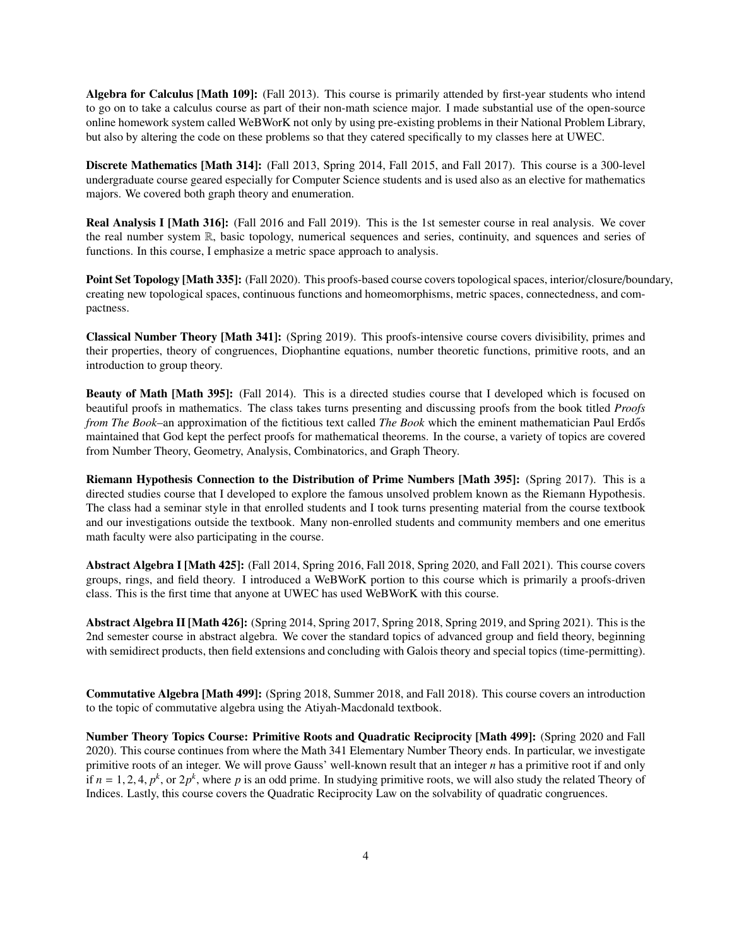Algebra for Calculus [Math 109]: (Fall 2013). This course is primarily attended by first-year students who intend to go on to take a calculus course as part of their non-math science major. I made substantial use of the open-source online homework system called WeBWorK not only by using pre-existing problems in their National Problem Library, but also by altering the code on these problems so that they catered specifically to my classes here at UWEC.

Discrete Mathematics [Math 314]: (Fall 2013, Spring 2014, Fall 2015, and Fall 2017). This course is a 300-level undergraduate course geared especially for Computer Science students and is used also as an elective for mathematics majors. We covered both graph theory and enumeration.

Real Analysis I [Math 316]: (Fall 2016 and Fall 2019). This is the 1st semester course in real analysis. We cover the real number system R, basic topology, numerical sequences and series, continuity, and squences and series of functions. In this course, I emphasize a metric space approach to analysis.

Point Set Topology [Math 335]: (Fall 2020). This proofs-based course covers topological spaces, interior/closure/boundary, creating new topological spaces, continuous functions and homeomorphisms, metric spaces, connectedness, and compactness.

Classical Number Theory [Math 341]: (Spring 2019). This proofs-intensive course covers divisibility, primes and their properties, theory of congruences, Diophantine equations, number theoretic functions, primitive roots, and an introduction to group theory.

Beauty of Math [Math 395]: (Fall 2014). This is a directed studies course that I developed which is focused on beautiful proofs in mathematics. The class takes turns presenting and discussing proofs from the book titled *Proofs from The Book–*an approximation of the fictitious text called *The Book* which the eminent mathematician Paul Erdős maintained that God kept the perfect proofs for mathematical theorems. In the course, a variety of topics are covered from Number Theory, Geometry, Analysis, Combinatorics, and Graph Theory.

Riemann Hypothesis Connection to the Distribution of Prime Numbers [Math 395]: (Spring 2017). This is a directed studies course that I developed to explore the famous unsolved problem known as the Riemann Hypothesis. The class had a seminar style in that enrolled students and I took turns presenting material from the course textbook and our investigations outside the textbook. Many non-enrolled students and community members and one emeritus math faculty were also participating in the course.

Abstract Algebra I [Math 425]: (Fall 2014, Spring 2016, Fall 2018, Spring 2020, and Fall 2021). This course covers groups, rings, and field theory. I introduced a WeBWorK portion to this course which is primarily a proofs-driven class. This is the first time that anyone at UWEC has used WeBWorK with this course.

Abstract Algebra II [Math 426]: (Spring 2014, Spring 2017, Spring 2018, Spring 2019, and Spring 2021). This is the 2nd semester course in abstract algebra. We cover the standard topics of advanced group and field theory, beginning with semidirect products, then field extensions and concluding with Galois theory and special topics (time-permitting).

Commutative Algebra [Math 499]: (Spring 2018, Summer 2018, and Fall 2018). This course covers an introduction to the topic of commutative algebra using the Atiyah-Macdonald textbook.

Number Theory Topics Course: Primitive Roots and Quadratic Reciprocity [Math 499]: (Spring 2020 and Fall 2020). This course continues from where the Math 341 Elementary Number Theory ends. In particular, we investigate primitive roots of an integer. We will prove Gauss' well-known result that an integer *n* has a primitive root if and only if  $n = 1, 2, 4, p^k$ , or  $2p^k$ , where *p* is an odd prime. In studying primitive roots, we will also study the related Theory of Indices. Lastly, this course covers the Quadratic Reciprocity Law on the solvability of quadratic congruences.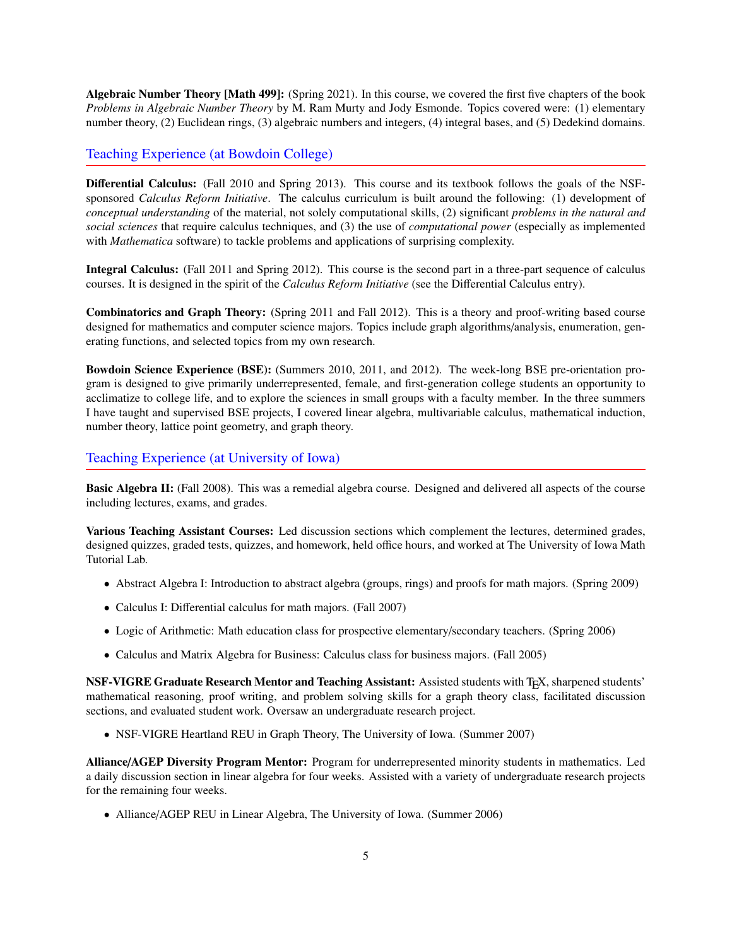Algebraic Number Theory [Math 499]: (Spring 2021). In this course, we covered the first five chapters of the book *Problems in Algebraic Number Theory* by M. Ram Murty and Jody Esmonde. Topics covered were: (1) elementary number theory, (2) Euclidean rings, (3) algebraic numbers and integers, (4) integral bases, and (5) Dedekind domains.

# Teaching Experience (at Bowdoin College)

Differential Calculus: (Fall 2010 and Spring 2013). This course and its textbook follows the goals of the NSFsponsored *Calculus Reform Initiative*. The calculus curriculum is built around the following: (1) development of *conceptual understanding* of the material, not solely computational skills, (2) significant *problems in the natural and social sciences* that require calculus techniques, and (3) the use of *computational power* (especially as implemented with *Mathematica* software) to tackle problems and applications of surprising complexity.

Integral Calculus: (Fall 2011 and Spring 2012). This course is the second part in a three-part sequence of calculus courses. It is designed in the spirit of the *Calculus Reform Initiative* (see the Differential Calculus entry).

Combinatorics and Graph Theory: (Spring 2011 and Fall 2012). This is a theory and proof-writing based course designed for mathematics and computer science majors. Topics include graph algorithms/analysis, enumeration, generating functions, and selected topics from my own research.

Bowdoin Science Experience (BSE): (Summers 2010, 2011, and 2012). The week-long BSE pre-orientation program is designed to give primarily underrepresented, female, and first-generation college students an opportunity to acclimatize to college life, and to explore the sciences in small groups with a faculty member. In the three summers I have taught and supervised BSE projects, I covered linear algebra, multivariable calculus, mathematical induction, number theory, lattice point geometry, and graph theory.

# Teaching Experience (at University of Iowa)

Basic Algebra II: (Fall 2008). This was a remedial algebra course. Designed and delivered all aspects of the course including lectures, exams, and grades.

Various Teaching Assistant Courses: Led discussion sections which complement the lectures, determined grades, designed quizzes, graded tests, quizzes, and homework, held office hours, and worked at The University of Iowa Math Tutorial Lab.

- Abstract Algebra I: Introduction to abstract algebra (groups, rings) and proofs for math majors. (Spring 2009)
- Calculus I: Differential calculus for math majors. (Fall 2007)
- Logic of Arithmetic: Math education class for prospective elementary/secondary teachers. (Spring 2006)
- Calculus and Matrix Algebra for Business: Calculus class for business majors. (Fall 2005)

NSF-VIGRE Graduate Research Mentor and Teaching Assistant: Assisted students with TEX, sharpened students' mathematical reasoning, proof writing, and problem solving skills for a graph theory class, facilitated discussion sections, and evaluated student work. Oversaw an undergraduate research project.

• NSF-VIGRE Heartland REU in Graph Theory, The University of Iowa. (Summer 2007)

Alliance/AGEP Diversity Program Mentor: Program for underrepresented minority students in mathematics. Led a daily discussion section in linear algebra for four weeks. Assisted with a variety of undergraduate research projects for the remaining four weeks.

• Alliance/AGEP REU in Linear Algebra, The University of Iowa. (Summer 2006)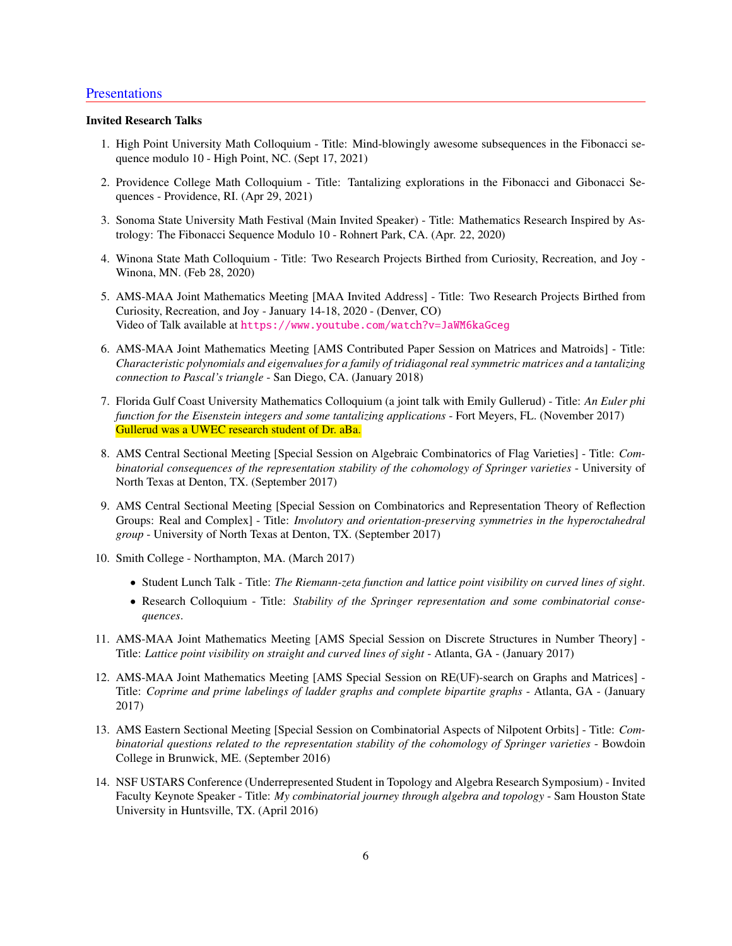# **Presentations**

#### Invited Research Talks

- 1. High Point University Math Colloquium Title: Mind-blowingly awesome subsequences in the Fibonacci sequence modulo 10 - High Point, NC. (Sept 17, 2021)
- 2. Providence College Math Colloquium Title: Tantalizing explorations in the Fibonacci and Gibonacci Sequences - Providence, RI. (Apr 29, 2021)
- 3. Sonoma State University Math Festival (Main Invited Speaker) Title: Mathematics Research Inspired by Astrology: The Fibonacci Sequence Modulo 10 - Rohnert Park, CA. (Apr. 22, 2020)
- 4. Winona State Math Colloquium Title: Two Research Projects Birthed from Curiosity, Recreation, and Joy Winona, MN. (Feb 28, 2020)
- 5. AMS-MAA Joint Mathematics Meeting [MAA Invited Address] Title: Two Research Projects Birthed from Curiosity, Recreation, and Joy - January 14-18, 2020 - (Denver, CO) Video of Talk available at <https://www.youtube.com/watch?v=JaWM6kaGceg>
- 6. AMS-MAA Joint Mathematics Meeting [AMS Contributed Paper Session on Matrices and Matroids] Title: *Characteristic polynomials and eigenvalues for a family of tridiagonal real symmetric matrices and a tantalizing connection to Pascal's triangle* - San Diego, CA. (January 2018)
- 7. Florida Gulf Coast University Mathematics Colloquium (a joint talk with Emily Gullerud) Title: *An Euler phi function for the Eisenstein integers and some tantalizing applications* - Fort Meyers, FL. (November 2017) Gullerud was a UWEC research student of Dr. aBa.
- 8. AMS Central Sectional Meeting [Special Session on Algebraic Combinatorics of Flag Varieties] Title: *Combinatorial consequences of the representation stability of the cohomology of Springer varieties* - University of North Texas at Denton, TX. (September 2017)
- 9. AMS Central Sectional Meeting [Special Session on Combinatorics and Representation Theory of Reflection Groups: Real and Complex] - Title: *Involutory and orientation-preserving symmetries in the hyperoctahedral group* - University of North Texas at Denton, TX. (September 2017)
- 10. Smith College Northampton, MA. (March 2017)
	- Student Lunch Talk Title: *The Riemann-zeta function and lattice point visibility on curved lines of sight*.
	- Research Colloquium Title: *Stability of the Springer representation and some combinatorial consequences*.
- 11. AMS-MAA Joint Mathematics Meeting [AMS Special Session on Discrete Structures in Number Theory] Title: *Lattice point visibility on straight and curved lines of sight* - Atlanta, GA - (January 2017)
- 12. AMS-MAA Joint Mathematics Meeting [AMS Special Session on RE(UF)-search on Graphs and Matrices] Title: *Coprime and prime labelings of ladder graphs and complete bipartite graphs* - Atlanta, GA - (January 2017)
- 13. AMS Eastern Sectional Meeting [Special Session on Combinatorial Aspects of Nilpotent Orbits] Title: *Combinatorial questions related to the representation stability of the cohomology of Springer varieties* - Bowdoin College in Brunwick, ME. (September 2016)
- 14. NSF USTARS Conference (Underrepresented Student in Topology and Algebra Research Symposium) Invited Faculty Keynote Speaker - Title: *My combinatorial journey through algebra and topology* - Sam Houston State University in Huntsville, TX. (April 2016)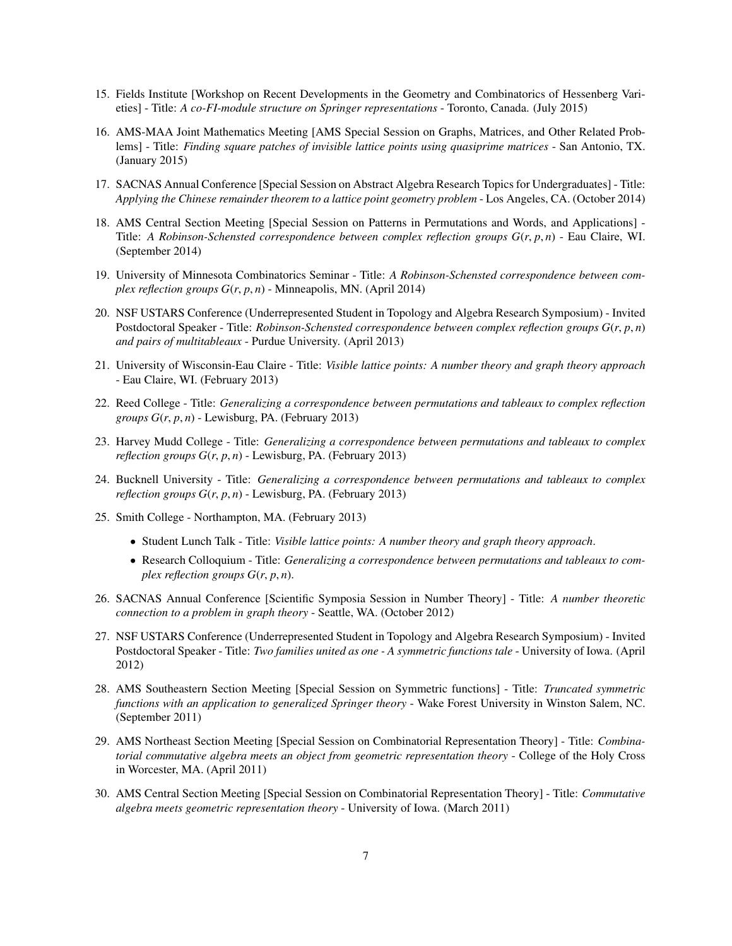- 15. Fields Institute [Workshop on Recent Developments in the Geometry and Combinatorics of Hessenberg Varieties] - Title: *A co-FI-module structure on Springer representations* - Toronto, Canada. (July 2015)
- 16. AMS-MAA Joint Mathematics Meeting [AMS Special Session on Graphs, Matrices, and Other Related Problems] - Title: *Finding square patches of invisible lattice points using quasiprime matrices* - San Antonio, TX. (January 2015)
- 17. SACNAS Annual Conference [Special Session on Abstract Algebra Research Topics for Undergraduates] Title: *Applying the Chinese remainder theorem to a lattice point geometry problem* - Los Angeles, CA. (October 2014)
- 18. AMS Central Section Meeting [Special Session on Patterns in Permutations and Words, and Applications] Title: *A Robinson-Schensted correspondence between complex reflection groups G*(*r*, *<sup>p</sup>*, *<sup>n</sup>*) - Eau Claire, WI. (September 2014)
- 19. University of Minnesota Combinatorics Seminar Title: *A Robinson-Schensted correspondence between complex reflection groups G*(*r*, *<sup>p</sup>*, *<sup>n</sup>*) - Minneapolis, MN. (April 2014)
- 20. NSF USTARS Conference (Underrepresented Student in Topology and Algebra Research Symposium) Invited Postdoctoral Speaker - Title: *Robinson-Schensted correspondence between complex reflection groups G*(*r*, *<sup>p</sup>*, *<sup>n</sup>*) *and pairs of multitableaux* - Purdue University. (April 2013)
- 21. University of Wisconsin-Eau Claire Title: *Visible lattice points: A number theory and graph theory approach* - Eau Claire, WI. (February 2013)
- 22. Reed College Title: *Generalizing a correspondence between permutations and tableaux to complex reflection groups G*(*r*, *<sup>p</sup>*, *<sup>n</sup>*) - Lewisburg, PA. (February 2013)
- 23. Harvey Mudd College Title: *Generalizing a correspondence between permutations and tableaux to complex reflection groups G*(*r*, *<sup>p</sup>*, *<sup>n</sup>*) - Lewisburg, PA. (February 2013)
- 24. Bucknell University Title: *Generalizing a correspondence between permutations and tableaux to complex reflection groups G*(*r*, *<sup>p</sup>*, *<sup>n</sup>*) - Lewisburg, PA. (February 2013)
- 25. Smith College Northampton, MA. (February 2013)
	- Student Lunch Talk Title: *Visible lattice points: A number theory and graph theory approach*.
	- Research Colloquium Title: *Generalizing a correspondence between permutations and tableaux to complex reflection groups*  $G(r, p, n)$ .
- 26. SACNAS Annual Conference [Scientific Symposia Session in Number Theory] Title: *A number theoretic connection to a problem in graph theory* - Seattle, WA. (October 2012)
- 27. NSF USTARS Conference (Underrepresented Student in Topology and Algebra Research Symposium) Invited Postdoctoral Speaker - Title: *Two families united as one - A symmetric functions tale* - University of Iowa. (April 2012)
- 28. AMS Southeastern Section Meeting [Special Session on Symmetric functions] Title: *Truncated symmetric functions with an application to generalized Springer theory* - Wake Forest University in Winston Salem, NC. (September 2011)
- 29. AMS Northeast Section Meeting [Special Session on Combinatorial Representation Theory] Title: *Combinatorial commutative algebra meets an object from geometric representation theory* - College of the Holy Cross in Worcester, MA. (April 2011)
- 30. AMS Central Section Meeting [Special Session on Combinatorial Representation Theory] Title: *Commutative algebra meets geometric representation theory* - University of Iowa. (March 2011)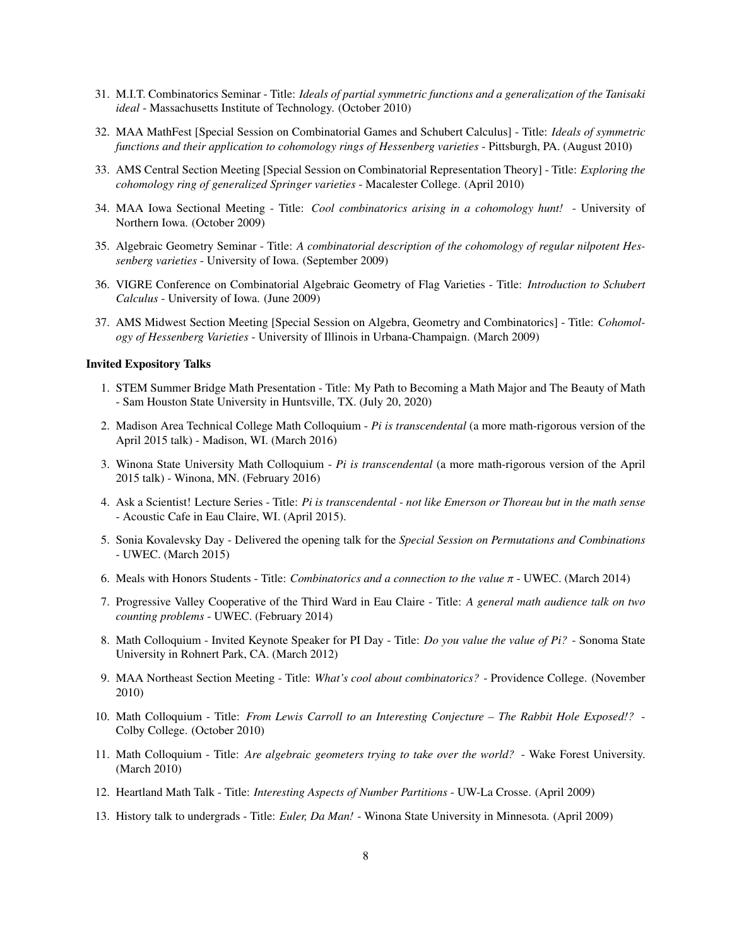- 31. M.I.T. Combinatorics Seminar Title: *Ideals of partial symmetric functions and a generalization of the Tanisaki ideal* - Massachusetts Institute of Technology. (October 2010)
- 32. MAA MathFest [Special Session on Combinatorial Games and Schubert Calculus] Title: *Ideals of symmetric functions and their application to cohomology rings of Hessenberg varieties* - Pittsburgh, PA. (August 2010)
- 33. AMS Central Section Meeting [Special Session on Combinatorial Representation Theory] Title: *Exploring the cohomology ring of generalized Springer varieties* - Macalester College. (April 2010)
- 34. MAA Iowa Sectional Meeting Title: *Cool combinatorics arising in a cohomology hunt!* University of Northern Iowa. (October 2009)
- 35. Algebraic Geometry Seminar Title: *A combinatorial description of the cohomology of regular nilpotent Hessenberg varieties* - University of Iowa. (September 2009)
- 36. VIGRE Conference on Combinatorial Algebraic Geometry of Flag Varieties Title: *Introduction to Schubert Calculus* - University of Iowa. (June 2009)
- 37. AMS Midwest Section Meeting [Special Session on Algebra, Geometry and Combinatorics] Title: *Cohomology of Hessenberg Varieties* - University of Illinois in Urbana-Champaign. (March 2009)

#### Invited Expository Talks

- 1. STEM Summer Bridge Math Presentation Title: My Path to Becoming a Math Major and The Beauty of Math - Sam Houston State University in Huntsville, TX. (July 20, 2020)
- 2. Madison Area Technical College Math Colloquium *Pi is transcendental* (a more math-rigorous version of the April 2015 talk) - Madison, WI. (March 2016)
- 3. Winona State University Math Colloquium *Pi is transcendental* (a more math-rigorous version of the April 2015 talk) - Winona, MN. (February 2016)
- 4. Ask a Scientist! Lecture Series Title: *Pi is transcendental not like Emerson or Thoreau but in the math sense* - Acoustic Cafe in Eau Claire, WI. (April 2015).
- 5. Sonia Kovalevsky Day Delivered the opening talk for the *Special Session on Permutations and Combinations* - UWEC. (March 2015)
- 6. Meals with Honors Students Title: *Combinatorics and a connection to the value* π UWEC. (March 2014)
- 7. Progressive Valley Cooperative of the Third Ward in Eau Claire Title: *A general math audience talk on two counting problems* - UWEC. (February 2014)
- 8. Math Colloquium Invited Keynote Speaker for PI Day Title: *Do you value the value of Pi?* Sonoma State University in Rohnert Park, CA. (March 2012)
- 9. MAA Northeast Section Meeting Title: *What's cool about combinatorics?* Providence College. (November 2010)
- 10. Math Colloquium Title: *From Lewis Carroll to an Interesting Conjecture The Rabbit Hole Exposed!?* Colby College. (October 2010)
- 11. Math Colloquium Title: *Are algebraic geometers trying to take over the world?* Wake Forest University. (March 2010)
- 12. Heartland Math Talk Title: *Interesting Aspects of Number Partitions* UW-La Crosse. (April 2009)
- 13. History talk to undergrads Title: *Euler, Da Man!* Winona State University in Minnesota. (April 2009)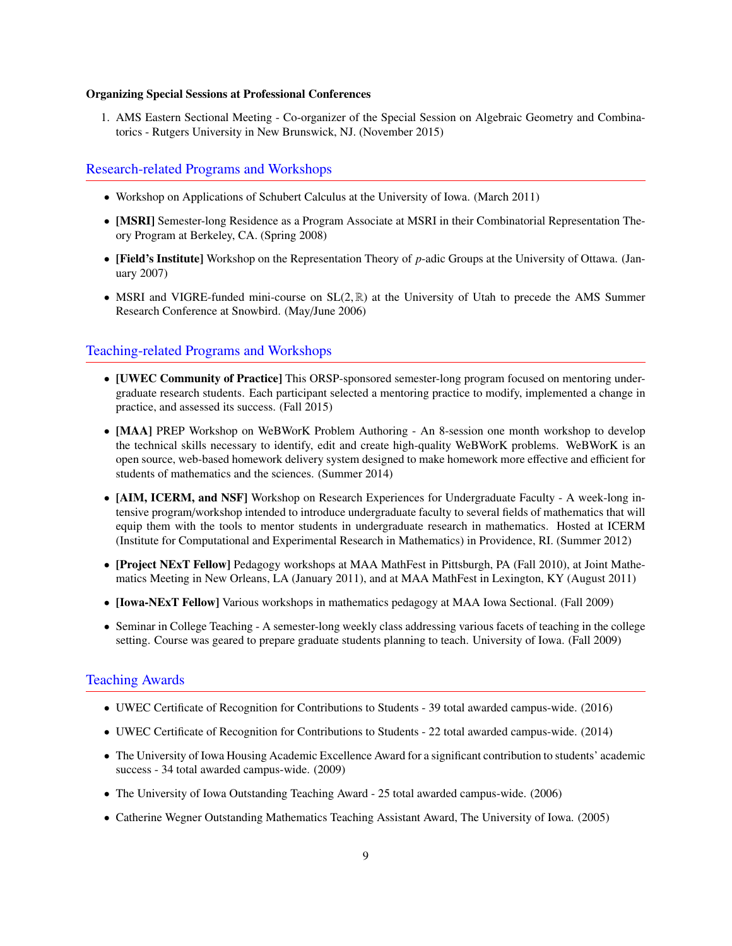#### Organizing Special Sessions at Professional Conferences

1. AMS Eastern Sectional Meeting - Co-organizer of the Special Session on Algebraic Geometry and Combinatorics - Rutgers University in New Brunswick, NJ. (November 2015)

#### Research-related Programs and Workshops

- Workshop on Applications of Schubert Calculus at the University of Iowa. (March 2011)
- [MSRI] Semester-long Residence as a Program Associate at MSRI in their Combinatorial Representation Theory Program at Berkeley, CA. (Spring 2008)
- [Field's Institute] Workshop on the Representation Theory of *p*-adic Groups at the University of Ottawa. (January 2007)
- MSRI and VIGRE-funded mini-course on  $SL(2,\mathbb{R})$  at the University of Utah to precede the AMS Summer Research Conference at Snowbird. (May/June 2006)

### Teaching-related Programs and Workshops

- [UWEC Community of Practice] This ORSP-sponsored semester-long program focused on mentoring undergraduate research students. Each participant selected a mentoring practice to modify, implemented a change in practice, and assessed its success. (Fall 2015)
- [MAA] PREP Workshop on WeBWorK Problem Authoring An 8-session one month workshop to develop the technical skills necessary to identify, edit and create high-quality WeBWorK problems. WeBWorK is an open source, web-based homework delivery system designed to make homework more effective and efficient for students of mathematics and the sciences. (Summer 2014)
- [AIM, ICERM, and NSF] Workshop on Research Experiences for Undergraduate Faculty A week-long intensive program/workshop intended to introduce undergraduate faculty to several fields of mathematics that will equip them with the tools to mentor students in undergraduate research in mathematics. Hosted at ICERM (Institute for Computational and Experimental Research in Mathematics) in Providence, RI. (Summer 2012)
- [Project NExT Fellow] Pedagogy workshops at MAA MathFest in Pittsburgh, PA (Fall 2010), at Joint Mathematics Meeting in New Orleans, LA (January 2011), and at MAA MathFest in Lexington, KY (August 2011)
- [Iowa-NExT Fellow] Various workshops in mathematics pedagogy at MAA Iowa Sectional. (Fall 2009)
- Seminar in College Teaching A semester-long weekly class addressing various facets of teaching in the college setting. Course was geared to prepare graduate students planning to teach. University of Iowa. (Fall 2009)

#### Teaching Awards

- UWEC Certificate of Recognition for Contributions to Students 39 total awarded campus-wide. (2016)
- UWEC Certificate of Recognition for Contributions to Students 22 total awarded campus-wide. (2014)
- The University of Iowa Housing Academic Excellence Award for a significant contribution to students' academic success - 34 total awarded campus-wide. (2009)
- The University of Iowa Outstanding Teaching Award 25 total awarded campus-wide. (2006)
- Catherine Wegner Outstanding Mathematics Teaching Assistant Award, The University of Iowa. (2005)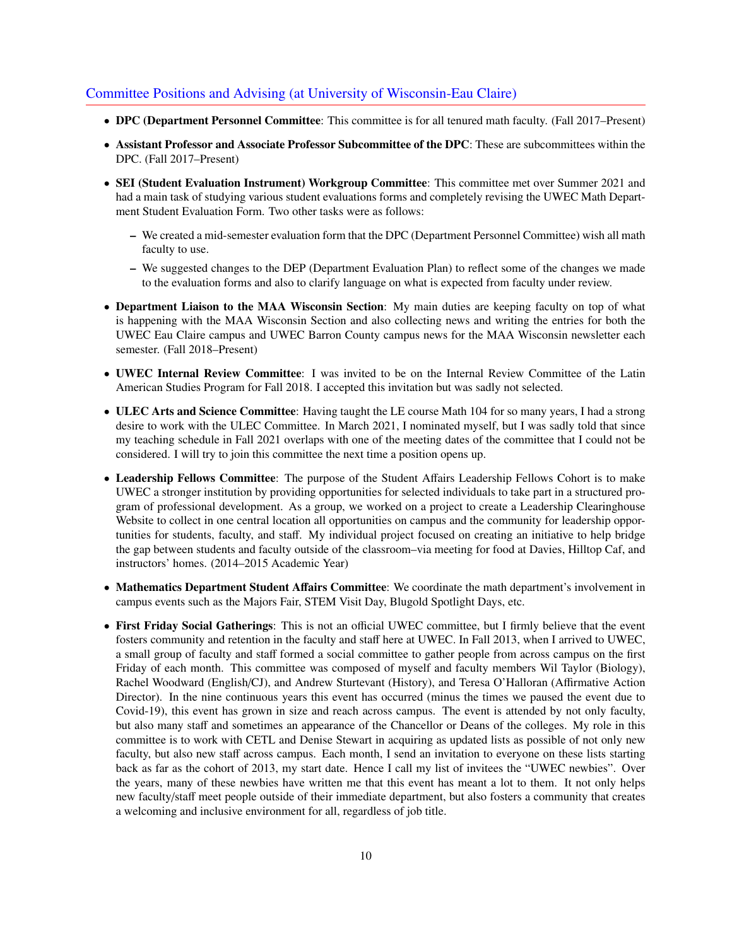# Committee Positions and Advising (at University of Wisconsin-Eau Claire)

- DPC (Department Personnel Committee: This committee is for all tenured math faculty. (Fall 2017–Present)
- Assistant Professor and Associate Professor Subcommittee of the DPC: These are subcommittees within the DPC. (Fall 2017–Present)
- SEI (Student Evaluation Instrument) Workgroup Committee: This committee met over Summer 2021 and had a main task of studying various student evaluations forms and completely revising the UWEC Math Department Student Evaluation Form. Two other tasks were as follows:
	- We created a mid-semester evaluation form that the DPC (Department Personnel Committee) wish all math faculty to use.
	- We suggested changes to the DEP (Department Evaluation Plan) to reflect some of the changes we made to the evaluation forms and also to clarify language on what is expected from faculty under review.
- Department Liaison to the MAA Wisconsin Section: My main duties are keeping faculty on top of what is happening with the MAA Wisconsin Section and also collecting news and writing the entries for both the UWEC Eau Claire campus and UWEC Barron County campus news for the MAA Wisconsin newsletter each semester. (Fall 2018–Present)
- UWEC Internal Review Committee: I was invited to be on the Internal Review Committee of the Latin American Studies Program for Fall 2018. I accepted this invitation but was sadly not selected.
- ULEC Arts and Science Committee: Having taught the LE course Math 104 for so many years, I had a strong desire to work with the ULEC Committee. In March 2021, I nominated myself, but I was sadly told that since my teaching schedule in Fall 2021 overlaps with one of the meeting dates of the committee that I could not be considered. I will try to join this committee the next time a position opens up.
- Leadership Fellows Committee: The purpose of the Student Affairs Leadership Fellows Cohort is to make UWEC a stronger institution by providing opportunities for selected individuals to take part in a structured program of professional development. As a group, we worked on a project to create a Leadership Clearinghouse Website to collect in one central location all opportunities on campus and the community for leadership opportunities for students, faculty, and staff. My individual project focused on creating an initiative to help bridge the gap between students and faculty outside of the classroom–via meeting for food at Davies, Hilltop Caf, and instructors' homes. (2014–2015 Academic Year)
- Mathematics Department Student Affairs Committee: We coordinate the math department's involvement in campus events such as the Majors Fair, STEM Visit Day, Blugold Spotlight Days, etc.
- First Friday Social Gatherings: This is not an official UWEC committee, but I firmly believe that the event fosters community and retention in the faculty and staff here at UWEC. In Fall 2013, when I arrived to UWEC, a small group of faculty and staff formed a social committee to gather people from across campus on the first Friday of each month. This committee was composed of myself and faculty members Wil Taylor (Biology), Rachel Woodward (English/CJ), and Andrew Sturtevant (History), and Teresa O'Halloran (Affirmative Action Director). In the nine continuous years this event has occurred (minus the times we paused the event due to Covid-19), this event has grown in size and reach across campus. The event is attended by not only faculty, but also many staff and sometimes an appearance of the Chancellor or Deans of the colleges. My role in this committee is to work with CETL and Denise Stewart in acquiring as updated lists as possible of not only new faculty, but also new staff across campus. Each month, I send an invitation to everyone on these lists starting back as far as the cohort of 2013, my start date. Hence I call my list of invitees the "UWEC newbies". Over the years, many of these newbies have written me that this event has meant a lot to them. It not only helps new faculty/staff meet people outside of their immediate department, but also fosters a community that creates a welcoming and inclusive environment for all, regardless of job title.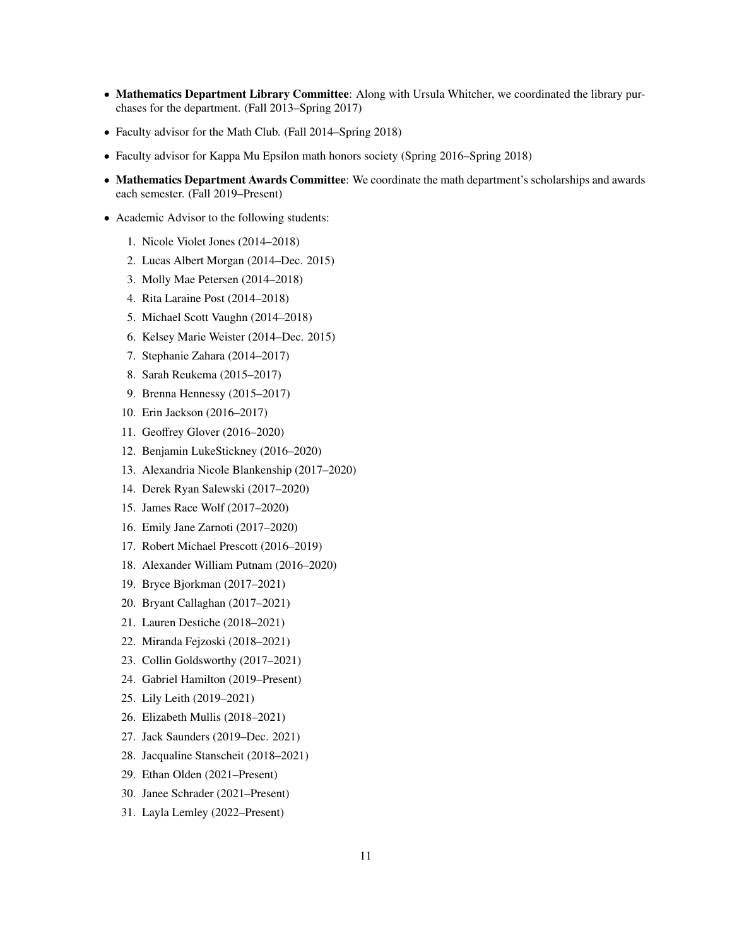- Mathematics Department Library Committee: Along with Ursula Whitcher, we coordinated the library purchases for the department. (Fall 2013–Spring 2017)
- Faculty advisor for the Math Club. (Fall 2014–Spring 2018)
- Faculty advisor for Kappa Mu Epsilon math honors society (Spring 2016–Spring 2018)
- Mathematics Department Awards Committee: We coordinate the math department's scholarships and awards each semester. (Fall 2019–Present)
- Academic Advisor to the following students:
	- 1. Nicole Violet Jones (2014–2018)
	- 2. Lucas Albert Morgan (2014–Dec. 2015)
	- 3. Molly Mae Petersen (2014–2018)
	- 4. Rita Laraine Post (2014–2018)
	- 5. Michael Scott Vaughn (2014–2018)
	- 6. Kelsey Marie Weister (2014–Dec. 2015)
	- 7. Stephanie Zahara (2014–2017)
	- 8. Sarah Reukema (2015–2017)
	- 9. Brenna Hennessy (2015–2017)
	- 10. Erin Jackson (2016–2017)
	- 11. Geoffrey Glover (2016–2020)
	- 12. Benjamin LukeStickney (2016–2020)
	- 13. Alexandria Nicole Blankenship (2017–2020)
	- 14. Derek Ryan Salewski (2017–2020)
	- 15. James Race Wolf (2017–2020)
	- 16. Emily Jane Zarnoti (2017–2020)
	- 17. Robert Michael Prescott (2016–2019)
	- 18. Alexander William Putnam (2016–2020)
	- 19. Bryce Bjorkman (2017–2021)
	- 20. Bryant Callaghan (2017–2021)
	- 21. Lauren Destiche (2018–2021)
	- 22. Miranda Fejzoski (2018–2021)
	- 23. Collin Goldsworthy (2017–2021)
	- 24. Gabriel Hamilton (2019–Present)
	- 25. Lily Leith (2019–2021)
	- 26. Elizabeth Mullis (2018–2021)
	- 27. Jack Saunders (2019–Dec. 2021)
	- 28. Jacqualine Stanscheit (2018–2021)
	- 29. Ethan Olden (2021–Present)
	- 30. Janee Schrader (2021–Present)
	- 31. Layla Lemley (2022–Present)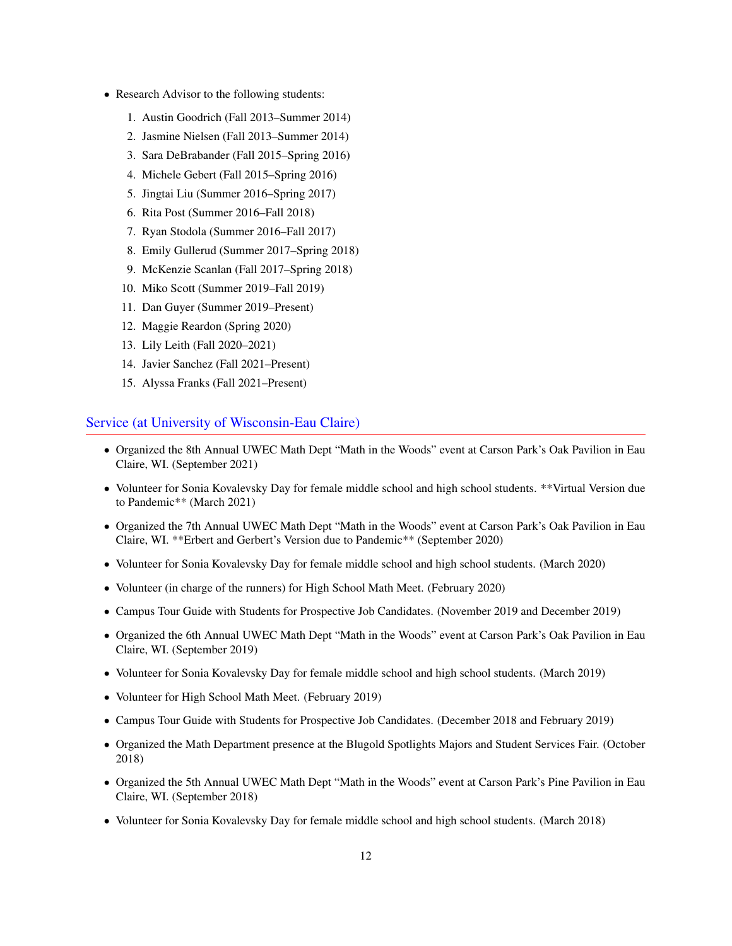- Research Advisor to the following students:
	- 1. Austin Goodrich (Fall 2013–Summer 2014)
	- 2. Jasmine Nielsen (Fall 2013–Summer 2014)
	- 3. Sara DeBrabander (Fall 2015–Spring 2016)
	- 4. Michele Gebert (Fall 2015–Spring 2016)
	- 5. Jingtai Liu (Summer 2016–Spring 2017)
	- 6. Rita Post (Summer 2016–Fall 2018)
	- 7. Ryan Stodola (Summer 2016–Fall 2017)
	- 8. Emily Gullerud (Summer 2017–Spring 2018)
	- 9. McKenzie Scanlan (Fall 2017–Spring 2018)
	- 10. Miko Scott (Summer 2019–Fall 2019)
	- 11. Dan Guyer (Summer 2019–Present)
	- 12. Maggie Reardon (Spring 2020)
	- 13. Lily Leith (Fall 2020–2021)
	- 14. Javier Sanchez (Fall 2021–Present)
	- 15. Alyssa Franks (Fall 2021–Present)

# Service (at University of Wisconsin-Eau Claire)

- Organized the 8th Annual UWEC Math Dept "Math in the Woods" event at Carson Park's Oak Pavilion in Eau Claire, WI. (September 2021)
- Volunteer for Sonia Kovalevsky Day for female middle school and high school students. \*\*Virtual Version due to Pandemic\*\* (March 2021)
- Organized the 7th Annual UWEC Math Dept "Math in the Woods" event at Carson Park's Oak Pavilion in Eau Claire, WI. \*\*Erbert and Gerbert's Version due to Pandemic\*\* (September 2020)
- Volunteer for Sonia Kovalevsky Day for female middle school and high school students. (March 2020)
- Volunteer (in charge of the runners) for High School Math Meet. (February 2020)
- Campus Tour Guide with Students for Prospective Job Candidates. (November 2019 and December 2019)
- Organized the 6th Annual UWEC Math Dept "Math in the Woods" event at Carson Park's Oak Pavilion in Eau Claire, WI. (September 2019)
- Volunteer for Sonia Kovalevsky Day for female middle school and high school students. (March 2019)
- Volunteer for High School Math Meet. (February 2019)
- Campus Tour Guide with Students for Prospective Job Candidates. (December 2018 and February 2019)
- Organized the Math Department presence at the Blugold Spotlights Majors and Student Services Fair. (October 2018)
- Organized the 5th Annual UWEC Math Dept "Math in the Woods" event at Carson Park's Pine Pavilion in Eau Claire, WI. (September 2018)
- Volunteer for Sonia Kovalevsky Day for female middle school and high school students. (March 2018)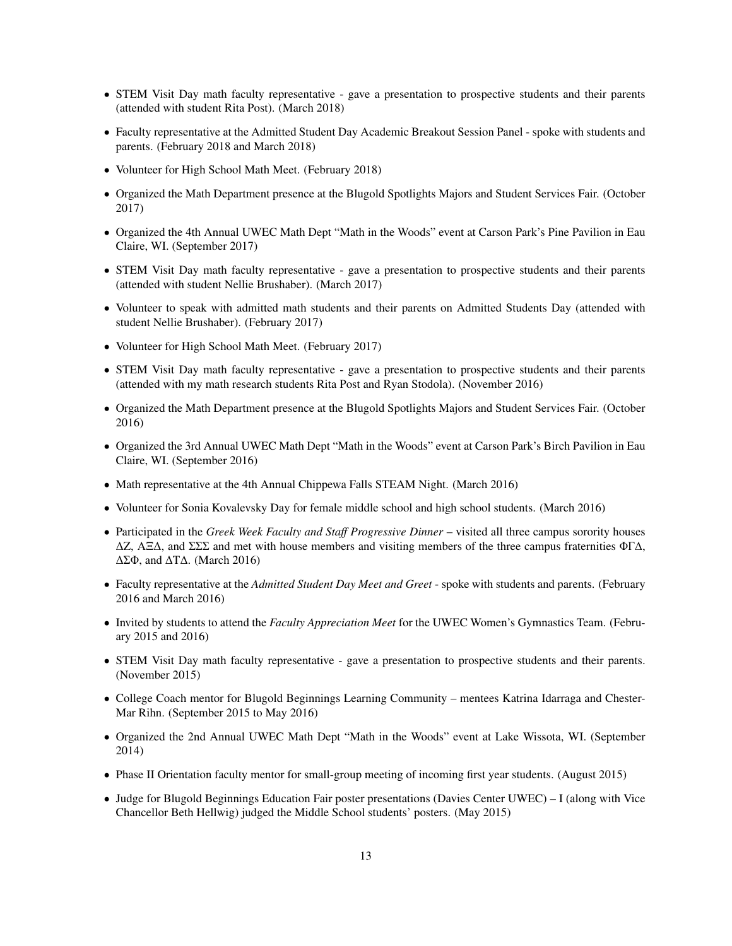- STEM Visit Day math faculty representative gave a presentation to prospective students and their parents (attended with student Rita Post). (March 2018)
- Faculty representative at the Admitted Student Day Academic Breakout Session Panel spoke with students and parents. (February 2018 and March 2018)
- Volunteer for High School Math Meet. (February 2018)
- Organized the Math Department presence at the Blugold Spotlights Majors and Student Services Fair. (October 2017)
- Organized the 4th Annual UWEC Math Dept "Math in the Woods" event at Carson Park's Pine Pavilion in Eau Claire, WI. (September 2017)
- STEM Visit Day math faculty representative gave a presentation to prospective students and their parents (attended with student Nellie Brushaber). (March 2017)
- Volunteer to speak with admitted math students and their parents on Admitted Students Day (attended with student Nellie Brushaber). (February 2017)
- Volunteer for High School Math Meet. (February 2017)
- STEM Visit Day math faculty representative gave a presentation to prospective students and their parents (attended with my math research students Rita Post and Ryan Stodola). (November 2016)
- Organized the Math Department presence at the Blugold Spotlights Majors and Student Services Fair. (October 2016)
- Organized the 3rd Annual UWEC Math Dept "Math in the Woods" event at Carson Park's Birch Pavilion in Eau Claire, WI. (September 2016)
- Math representative at the 4th Annual Chippewa Falls STEAM Night. (March 2016)
- Volunteer for Sonia Kovalevsky Day for female middle school and high school students. (March 2016)
- Participated in the *Greek Week Faculty and Sta*ff *Progressive Dinner* visited all three campus sorority houses ∆Z, AΞ∆, and ΣΣΣ and met with house members and visiting members of the three campus fraternities ΦΓ∆, ∆ΣΦ, and ∆T∆. (March 2016)
- Faculty representative at the *Admitted Student Day Meet and Greet* spoke with students and parents. (February 2016 and March 2016)
- Invited by students to attend the *Faculty Appreciation Meet* for the UWEC Women's Gymnastics Team. (February 2015 and 2016)
- STEM Visit Day math faculty representative gave a presentation to prospective students and their parents. (November 2015)
- College Coach mentor for Blugold Beginnings Learning Community mentees Katrina Idarraga and Chester-Mar Rihn. (September 2015 to May 2016)
- Organized the 2nd Annual UWEC Math Dept "Math in the Woods" event at Lake Wissota, WI. (September 2014)
- Phase II Orientation faculty mentor for small-group meeting of incoming first year students. (August 2015)
- Judge for Blugold Beginnings Education Fair poster presentations (Davies Center UWEC) I (along with Vice Chancellor Beth Hellwig) judged the Middle School students' posters. (May 2015)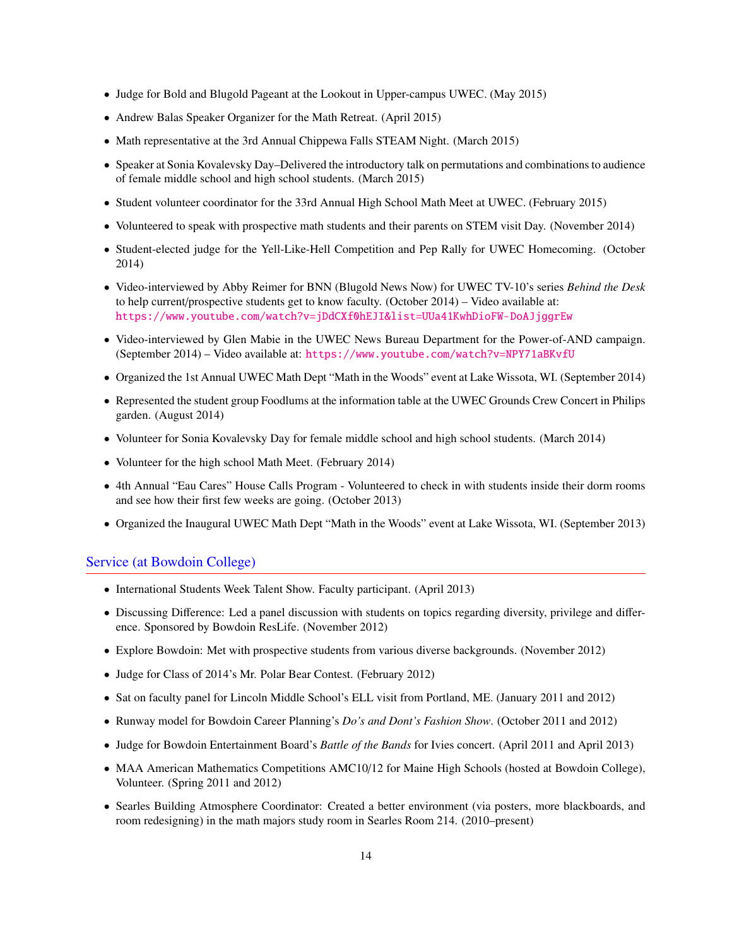- Judge for Bold and Blugold Pageant at the Lookout in Upper-campus UWEC. (May 2015)
- Andrew Balas Speaker Organizer for the Math Retreat. (April 2015)
- Math representative at the 3rd Annual Chippewa Falls STEAM Night. (March 2015)
- Speaker at Sonia Kovalevsky Day–Delivered the introductory talk on permutations and combinations to audience of female middle school and high school students. (March 2015)
- Student volunteer coordinator for the 33rd Annual High School Math Meet at UWEC. (February 2015)
- Volunteered to speak with prospective math students and their parents on STEM visit Day. (November 2014)
- Student-elected judge for the Yell-Like-Hell Competition and Pep Rally for UWEC Homecoming. (October 2014)
- Video-interviewed by Abby Reimer for BNN (Blugold News Now) for UWEC TV-10's series *Behind the Desk* to help current/prospective students get to know faculty. (October 2014) – Video available at: <https://www.youtube.com/watch?v=jDdCXf0hEJI&list=UUa41KwhDioFW-DoAJjggrEw>
- Video-interviewed by Glen Mabie in the UWEC News Bureau Department for the Power-of-AND campaign. (September 2014) – Video available at: <https://www.youtube.com/watch?v=NPY71aBKvfU>
- Organized the 1st Annual UWEC Math Dept "Math in the Woods" event at Lake Wissota, WI. (September 2014)
- Represented the student group Foodlums at the information table at the UWEC Grounds Crew Concert in Philips garden. (August 2014)
- Volunteer for Sonia Kovalevsky Day for female middle school and high school students. (March 2014)
- Volunteer for the high school Math Meet. (February 2014)
- 4th Annual "Eau Cares" House Calls Program Volunteered to check in with students inside their dorm rooms and see how their first few weeks are going. (October 2013)
- Organized the Inaugural UWEC Math Dept "Math in the Woods" event at Lake Wissota, WI. (September 2013)

#### Service (at Bowdoin College)

- International Students Week Talent Show. Faculty participant. (April 2013)
- Discussing Difference: Led a panel discussion with students on topics regarding diversity, privilege and difference. Sponsored by Bowdoin ResLife. (November 2012)
- Explore Bowdoin: Met with prospective students from various diverse backgrounds. (November 2012)
- Judge for Class of 2014's Mr. Polar Bear Contest. (February 2012)
- Sat on faculty panel for Lincoln Middle School's ELL visit from Portland, ME. (January 2011 and 2012)
- Runway model for Bowdoin Career Planning's *Do's and Dont's Fashion Show*. (October 2011 and 2012)
- Judge for Bowdoin Entertainment Board's *Battle of the Bands* for Ivies concert. (April 2011 and April 2013)
- MAA American Mathematics Competitions AMC10/12 for Maine High Schools (hosted at Bowdoin College), Volunteer. (Spring 2011 and 2012)
- Searles Building Atmosphere Coordinator: Created a better environment (via posters, more blackboards, and room redesigning) in the math majors study room in Searles Room 214. (2010–present)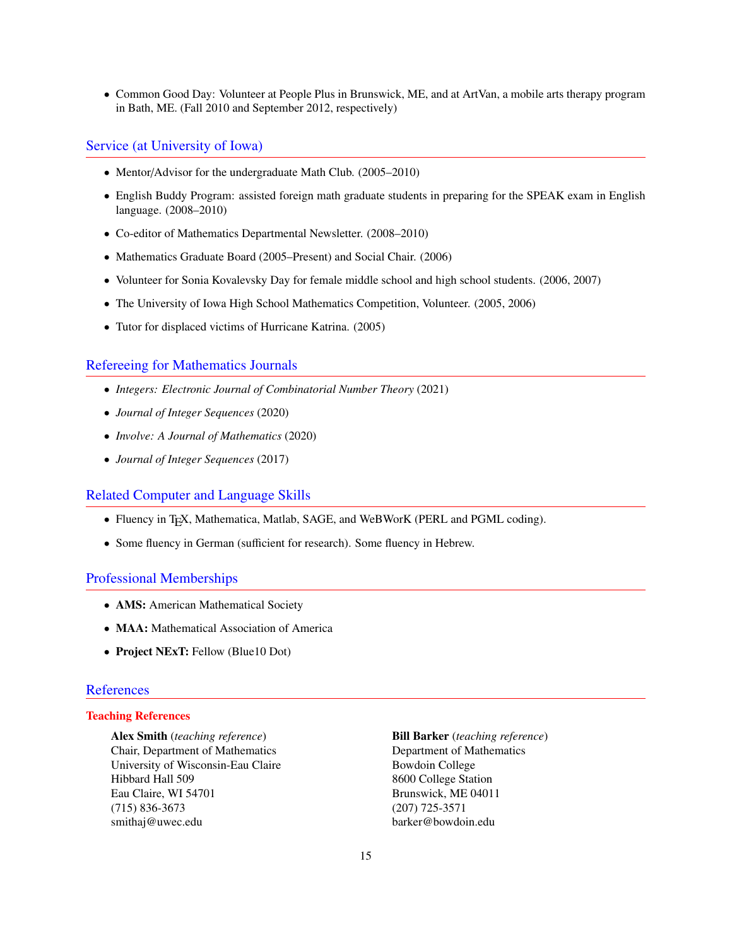• Common Good Day: Volunteer at People Plus in Brunswick, ME, and at ArtVan, a mobile arts therapy program in Bath, ME. (Fall 2010 and September 2012, respectively)

#### Service (at University of Iowa)

- Mentor/Advisor for the undergraduate Math Club. (2005–2010)
- English Buddy Program: assisted foreign math graduate students in preparing for the SPEAK exam in English language. (2008–2010)
- Co-editor of Mathematics Departmental Newsletter. (2008–2010)
- Mathematics Graduate Board (2005–Present) and Social Chair. (2006)
- Volunteer for Sonia Kovalevsky Day for female middle school and high school students. (2006, 2007)
- The University of Iowa High School Mathematics Competition, Volunteer. (2005, 2006)
- Tutor for displaced victims of Hurricane Katrina. (2005)

#### Refereeing for Mathematics Journals

- *Integers: Electronic Journal of Combinatorial Number Theory* (2021)
- *Journal of Integer Sequences* (2020)
- *Involve: A Journal of Mathematics* (2020)
- *Journal of Integer Sequences* (2017)

#### Related Computer and Language Skills

- Fluency in T<sub>F</sub>X, Mathematica, Matlab, SAGE, and WeBWorK (PERL and PGML coding).
- Some fluency in German (sufficient for research). Some fluency in Hebrew.

### Professional Memberships

- AMS: American Mathematical Society
- **MAA:** Mathematical Association of America
- Project NExT: Fellow (Blue10 Dot)

# **References**

# Teaching References

Chair, Department of Mathematics Department of Mathematics University of Wisconsin-Eau Claire Bowdoin College Hibbard Hall 509 8600 College Station Eau Claire, WI 54701 Brunswick, ME 04011 (715) 836-3673 (207) 725-3571 smithaj@uwec.edu barker@bowdoin.edu

Alex Smith (*teaching reference*) Bill Barker (*teaching reference*)